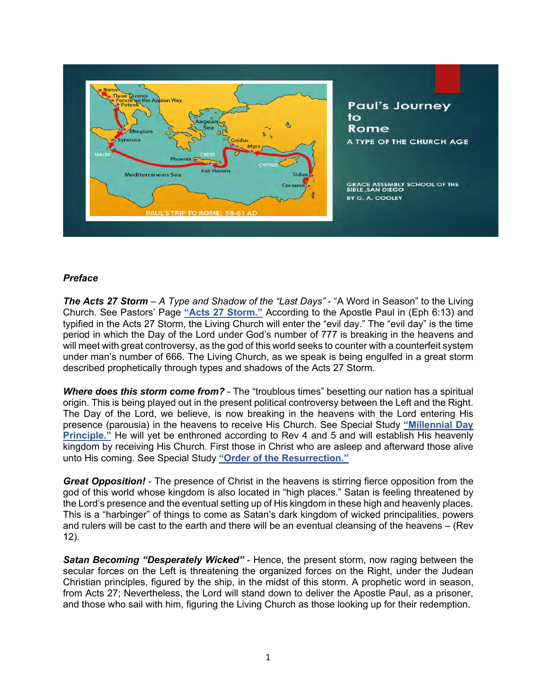

### *Preface*

*The Acts 27 Storm – A Type and Shadow of the "Last Days"* - "A Word in Season" to the Living Church. See Pastors' Page **["Acts 27 Storm."](https://graceassemblysandiego.com/pastors-page/)** According to the Apostle Paul in (Eph 6:13) and typified in the Acts 27 Storm, the Living Church will enter the "evil day." The "evil day" is the time period in which the Day of the Lord under God's number of 777 is breaking in the heavens and will meet with great controversy, as the god of this world seeks to counter with a counterfeit system under man's number of 666. The Living Church, as we speak is being engulfed in a great storm described prophetically through types and shadows of the Acts 27 Storm.

**Where does this storm come from?** - The "troublous times" besetting our nation has a spiritual origin. This is being played out in the present political controversy between the Left and the Right. The Day of the Lord, we believe, is now breaking in the heavens with the Lord entering His presence (parousia) in the heavens to receive His Church. See Special Study **["Millennial Day](https://graceassemblysandiego.info/wp-content/uploads/MillennialDayPrincipleopt.pdf) [Principle."](https://graceassemblysandiego.info/wp-content/uploads/MillennialDayPrincipleopt.pdf)** He will yet be enthroned according to Rev 4 and 5 and will establish His heavenly kingdom by receiving His Church. First those in Christ who are asleep and afterward those alive unto His coming. See Special Study **["Order of the Resurrection."](https://graceassemblysandiego.info/wp-content/uploads/OrderofResurrectionopt.pdf)**

*Great Opposition!* - The presence of Christ in the heavens is stirring fierce opposition from the god of this world whose kingdom is also located in "high places." Satan is feeling threatened by the Lord's presence and the eventual setting up of His kingdom in these high and heavenly places. This is a "harbinger" of things to come as Satan's dark kingdom of wicked principalities, powers and rulers will be cast to the earth and there will be an eventual cleansing of the heavens – (Rev 12).

*Satan Becoming "Desperately Wicked"* - Hence, the present storm, now raging between the secular forces on the Left is threatening the organized forces on the Right, under the Judean Christian principles, figured by the ship, in the midst of this storm. A prophetic word in season, from Acts 27; Nevertheless, the Lord will stand down to deliver the Apostle Paul, as a prisoner, and those who sail with him, figuring the Living Church as those looking up for their redemption.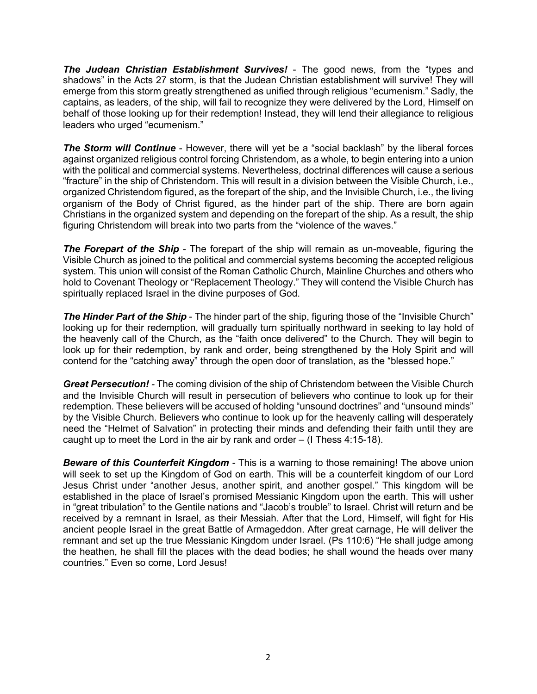*The Judean Christian Establishment Survives!* - The good news, from the "types and shadows" in the Acts 27 storm, is that the Judean Christian establishment will survive! They will emerge from this storm greatly strengthened as unified through religious "ecumenism." Sadly, the captains, as leaders, of the ship, will fail to recognize they were delivered by the Lord, Himself on behalf of those looking up for their redemption! Instead, they will lend their allegiance to religious leaders who urged "ecumenism."

*The Storm will Continue* - However, there will yet be a "social backlash" by the liberal forces against organized religious control forcing Christendom, as a whole, to begin entering into a union with the political and commercial systems. Nevertheless, doctrinal differences will cause a serious "fracture" in the ship of Christendom. This will result in a division between the Visible Church, i.e., organized Christendom figured, as the forepart of the ship, and the Invisible Church, i.e., the living organism of the Body of Christ figured, as the hinder part of the ship. There are born again Christians in the organized system and depending on the forepart of the ship. As a result, the ship figuring Christendom will break into two parts from the "violence of the waves."

**The Forepart of the Ship** - The forepart of the ship will remain as un-moveable, figuring the Visible Church as joined to the political and commercial systems becoming the accepted religious system. This union will consist of the Roman Catholic Church, Mainline Churches and others who hold to Covenant Theology or "Replacement Theology." They will contend the Visible Church has spiritually replaced Israel in the divine purposes of God.

**The Hinder Part of the Ship** - The hinder part of the ship, figuring those of the "Invisible Church" looking up for their redemption, will gradually turn spiritually northward in seeking to lay hold of the heavenly call of the Church, as the "faith once delivered" to the Church. They will begin to look up for their redemption, by rank and order, being strengthened by the Holy Spirit and will contend for the "catching away" through the open door of translation, as the "blessed hope."

*Great Persecution! -* The coming division of the ship of Christendom between the Visible Church and the Invisible Church will result in persecution of believers who continue to look up for their redemption. These believers will be accused of holding "unsound doctrines" and "unsound minds" by the Visible Church. Believers who continue to look up for the heavenly calling will desperately need the "Helmet of Salvation" in protecting their minds and defending their faith until they are caught up to meet the Lord in the air by rank and order  $-$  (I Thess 4:15-18).

**Beware of this Counterfeit Kingdom** - This is a warning to those remaining! The above union will seek to set up the Kingdom of God on earth. This will be a counterfeit kingdom of our Lord Jesus Christ under "another Jesus, another spirit, and another gospel." This kingdom will be established in the place of Israel's promised Messianic Kingdom upon the earth. This will usher in "great tribulation" to the Gentile nations and "Jacob's trouble" to Israel. Christ will return and be received by a remnant in Israel, as their Messiah. After that the Lord, Himself, will fight for His ancient people Israel in the great Battle of Armageddon. After great carnage, He will deliver the remnant and set up the true Messianic Kingdom under Israel. (Ps 110:6) "He shall judge among the heathen, he shall fill the places with the dead bodies; he shall wound the heads over many countries." Even so come, Lord Jesus!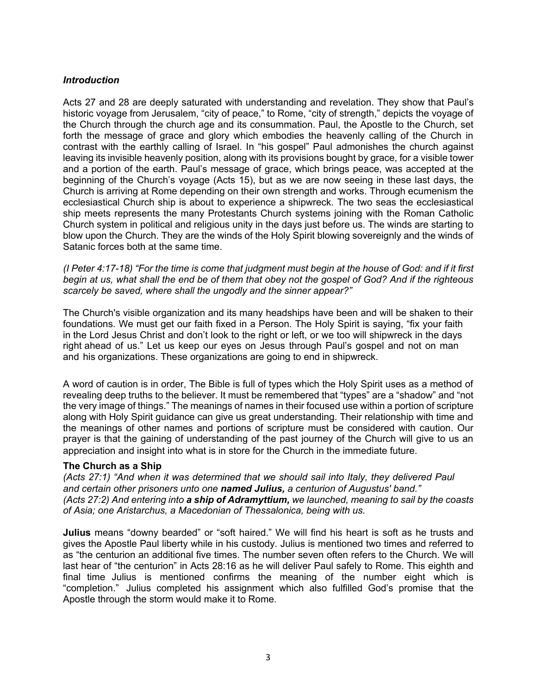### *Introduction*

Acts 27 and 28 are deeply saturated with understanding and revelation. They show that Paul's historic voyage from Jerusalem, "city of peace," to Rome, "city of strength," depicts the voyage of the Church through the church age and its consummation. Paul, the Apostle to the Church, set forth the message of grace and glory which embodies the heavenly calling of the Church in contrast with the earthly calling of Israel. In "his gospel" Paul admonishes the church against leaving its invisible heavenly position, along with its provisions bought by grace, for a visible tower and a portion of the earth. Paul's message of grace, which brings peace, was accepted at the beginning of the Church's voyage (Acts 15), but as we are now seeing in these last days, the Church is arriving at Rome depending on their own strength and works. Through ecumenism the ecclesiastical Church ship is about to experience a shipwreck. The two seas the ecclesiastical ship meets represents the many Protestants Church systems joining with the Roman Catholic Church system in political and religious unity in the days just before us. The winds are starting to blow upon the Church. They are the winds of the Holy Spirit blowing sovereignly and the winds of Satanic forces both at the same time.

*(I Peter 4:17-18) "For the time is come that judgment must begin at the house of God: and if it first begin at us, what shall the end be of them that obey not the gospel of God? And if the righteous scarcely be saved, where shall the ungodly and the sinner appear?"* 

The Church's visible organization and its many headships have been and will be shaken to their foundations. We must get our faith fixed in a Person. The Holy Spirit is saying, "fix your faith in the Lord Jesus Christ and don't look to the right or left, or we too will shipwreck in the days right ahead of us." Let us keep our eyes on Jesus through Paul's gospel and not on man and his organizations. These organizations are going to end in shipwreck.

A word of caution is in order, The Bible is full of types which the Holy Spirit uses as a method of revealing deep truths to the believer. It must be remembered that "types" are a "shadow" and "not the very image of things." The meanings of names in their focused use within a portion of scripture along with Holy Spirit guidance can give us great understanding. Their relationship with time and the meanings of other names and portions of scripture must be considered with caution. Our prayer is that the gaining of understanding of the past journey of the Church will give to us an appreciation and insight into what is in store for the Church in the immediate future.

#### **The Church as a Ship**

*(Acts 27:1) "And when it was determined that we should sail into Italy, they delivered Paul and certain other prisoners unto one named Julius, a centurion of Augustus' band." (Acts 27:2) And entering into a ship of Adramyttium, we launched, meaning to sail by the coasts of Asia; one Aristarchus, a Macedonian of Thessalonica, being with us.* 

**Julius** means "downy bearded" or "soft haired." We will find his heart is soft as he trusts and gives the Apostle Paul liberty while in his custody. Julius is mentioned two times and referred to as "the centurion an additional five times. The number seven often refers to the Church. We will last hear of "the centurion" in Acts 28:16 as he will deliver Paul safely to Rome. This eighth and final time Julius is mentioned confirms the meaning of the number eight which is "completion." Julius completed his assignment which also fulfilled God's promise that the Apostle through the storm would make it to Rome.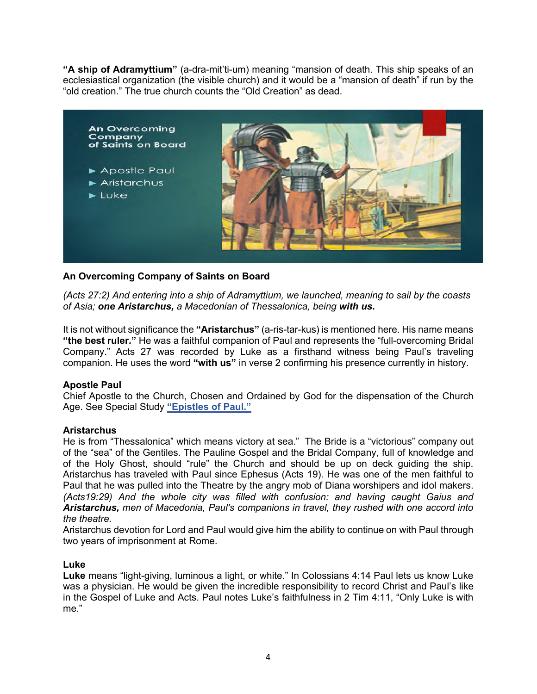**"A ship of Adramyttium"** (a-dra-mit'ti-um) meaning "mansion of death. This ship speaks of an ecclesiastical organization (the visible church) and it would be a "mansion of death" if run by the "old creation." The true church counts the "Old Creation" as dead.



## **An Overcoming Company of Saints on Board**

*(Acts 27:2) And entering into a ship of Adramyttium, we launched, meaning to sail by the coasts of Asia; one Aristarchus, a Macedonian of Thessalonica, being with us.*

It is not without significance the **"Aristarchus"** (a-ris-tar-kus) is mentioned here. His name means **"the best ruler."** He was a faithful companion of Paul and represents the "full-overcoming Bridal Company." Acts 27 was recorded by Luke as a firsthand witness being Paul's traveling companion. He uses the word **"with us"** in verse 2 confirming his presence currently in history.

#### **Apostle Paul**

Chief Apostle to the Church, Chosen and Ordained by God for the dispensation of the Church Age. See Special Study **["Epistles of Paul."](https://graceassemblysandiego.info/wp-content/uploads/PaulsEpistlesopt.pdf)**

#### **Aristarchus**

He is from "Thessalonica" which means victory at sea." The Bride is a "victorious" company out of the "sea" of the Gentiles. The Pauline Gospel and the Bridal Company, full of knowledge and of the Holy Ghost, should "rule" the Church and should be up on deck guiding the ship. Aristarchus has traveled with Paul since Ephesus (Acts 19). He was one of the men faithful to Paul that he was pulled into the Theatre by the angry mob of Diana worshipers and idol makers. *(Acts19:29) And the whole city was filled with confusion: and having caught Gaius and Aristarchus, men of Macedonia, Paul's companions in travel, they rushed with one accord into the theatre.*

Aristarchus devotion for Lord and Paul would give him the ability to continue on with Paul through two years of imprisonment at Rome.

#### **Luke**

**Luke** means "light-giving, luminous a light, or white." In Colossians 4:14 Paul lets us know Luke was a physician. He would be given the incredible responsibility to record Christ and Paul's like in the Gospel of Luke and Acts. Paul notes Luke's faithfulness in 2 Tim 4:11, "Only Luke is with me."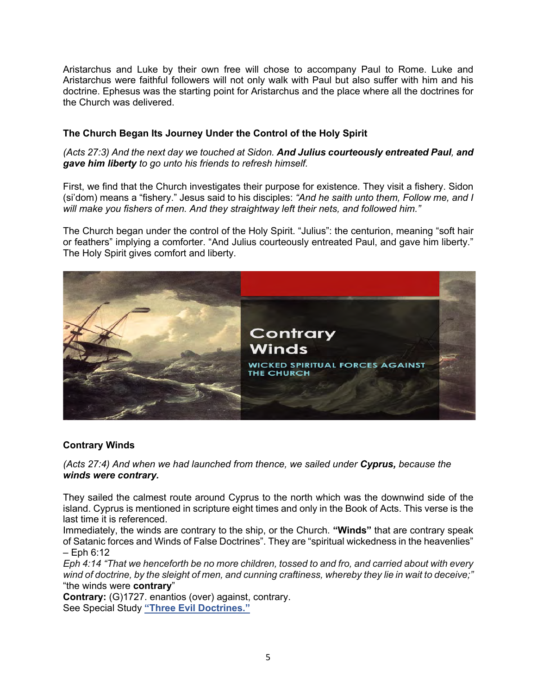Aristarchus and Luke by their own free will chose to accompany Paul to Rome. Luke and Aristarchus were faithful followers will not only walk with Paul but also suffer with him and his doctrine. Ephesus was the starting point for Aristarchus and the place where all the doctrines for the Church was delivered.

# **The Church Began Its Journey Under the Control of the Holy Spirit**

## *(Acts 27:3) And the next day we touched at Sidon. And Julius courteously entreated Paul, and gave him liberty to go unto his friends to refresh himself.*

First, we find that the Church investigates their purpose for existence. They visit a fishery. Sidon (si'dom) means a "fishery." Jesus said to his disciples: *"And he saith unto them, Follow me, and I will make you fishers of men. And they straightway left their nets, and followed him."* 

The Church began under the control of the Holy Spirit. "Julius": the centurion, meaning "soft hair or feathers" implying a comforter. "And Julius courteously entreated Paul, and gave him liberty." The Holy Spirit gives comfort and liberty.



## **Contrary Winds**

*(Acts 27:4) And when we had launched from thence, we sailed under Cyprus, because the winds were contrary.*

They sailed the calmest route around Cyprus to the north which was the downwind side of the island. Cyprus is mentioned in scripture eight times and only in the Book of Acts. This verse is the last time it is referenced.

Immediately, the winds are contrary to the ship, or the Church. **"Winds"** that are contrary speak of Satanic forces and Winds of False Doctrines". They are "spiritual wickedness in the heavenlies"  $-$  Eph 6:12

*Eph 4:14 "That we henceforth be no more children, tossed to and fro, and carried about with every wind of doctrine, by the sleight of men, and cunning craftiness, whereby they lie in wait to deceive;"* "the winds were **contrary**"

**Contrary:** (G)1727. enantios (over) against, contrary. See Special Study **["Three Evil Doctrines."](https://graceassemblysandiego.info/wp-content/uploads/ThreeEvilDoctrines.pdf)**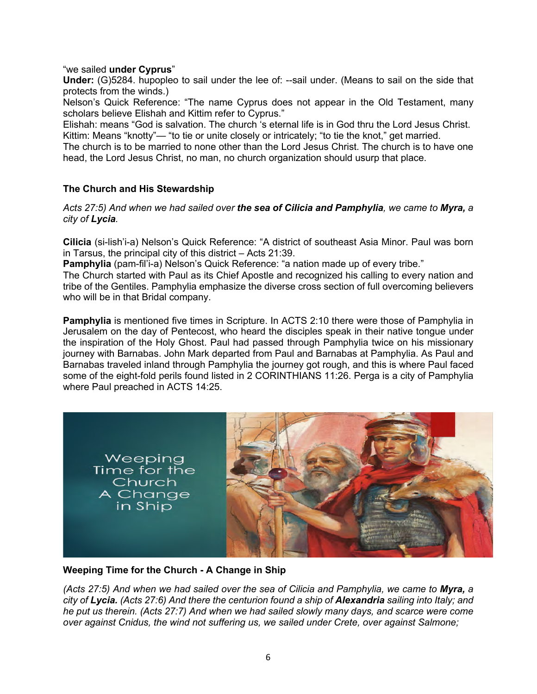### "we sailed **under Cyprus**"

**Under:** (G)5284. hupopleo to sail under the lee of: --sail under. (Means to sail on the side that protects from the winds.)

Nelson's Quick Reference: "The name Cyprus does not appear in the Old Testament, many scholars believe Elishah and Kittim refer to Cyprus."

Elishah: means "God is salvation. The church 's eternal life is in God thru the Lord Jesus Christ. Kittim: Means "knotty"— "to tie or unite closely or intricately; "to tie the knot," get married.

The church is to be married to none other than the Lord Jesus Christ. The church is to have one head, the Lord Jesus Christ, no man, no church organization should usurp that place.

## **The Church and His Stewardship**

*Acts 27:5) And when we had sailed over the sea of Cilicia and Pamphylia, we came to Myra, a city of Lycia.*

**Cilicia** (si-lish'i-a) Nelson's Quick Reference: "A district of southeast Asia Minor. Paul was born in Tarsus, the principal city of this district – Acts 21:39.

Pamphylia (pam-fil'i-a) Nelson's Quick Reference: "a nation made up of every tribe."

The Church started with Paul as its Chief Apostle and recognized his calling to every nation and tribe of the Gentiles. Pamphylia emphasize the diverse cross section of full overcoming believers who will be in that Bridal company.

**Pamphylia** is mentioned five times in Scripture. In ACTS 2:10 there were those of Pamphylia in Jerusalem on the day of Pentecost, who heard the disciples speak in their native tongue under the inspiration of the Holy Ghost. Paul had passed through Pamphylia twice on his missionary journey with Barnabas. John Mark departed from Paul and Barnabas at Pamphylia. As Paul and Barnabas traveled inland through Pamphylia the journey got rough, and this is where Paul faced some of the eight-fold perils found listed in 2 CORINTHIANS 11:26. Perga is a city of Pamphylia where Paul preached in ACTS 14:25.



## **Weeping Time for the Church - A Change in Ship**

*(Acts 27:5) And when we had sailed over the sea of Cilicia and Pamphylia, we came to Myra, a city of Lycia. (Acts 27:6) And there the centurion found a ship of Alexandria sailing into Italy; and he put us therein. (Acts 27:7) And when we had sailed slowly many days, and scarce were come over against Cnidus, the wind not suffering us, we sailed under Crete, over against Salmone;*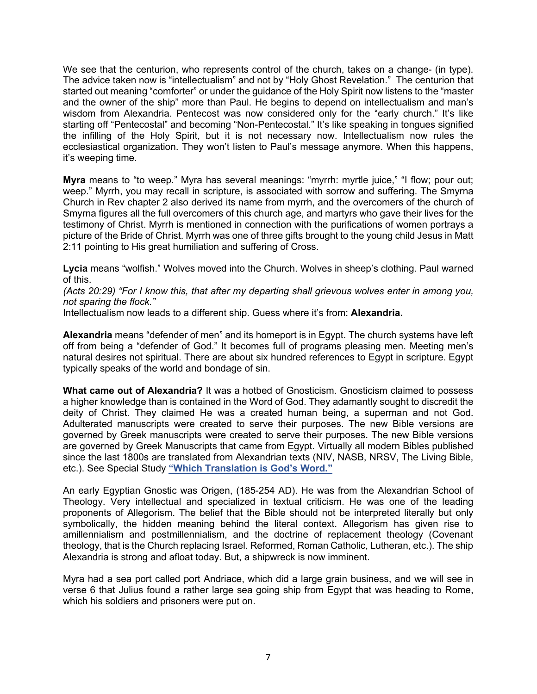We see that the centurion, who represents control of the church, takes on a change- (in type). The advice taken now is "intellectualism" and not by "Holy Ghost Revelation." The centurion that started out meaning "comforter" or under the guidance of the Holy Spirit now listens to the "master and the owner of the ship" more than Paul. He begins to depend on intellectualism and man's wisdom from Alexandria. Pentecost was now considered only for the "early church." It's like starting off "Pentecostal" and becoming "Non-Pentecostal." It's like speaking in tongues signified the infilling of the Holy Spirit, but it is not necessary now. Intellectualism now rules the ecclesiastical organization. They won't listen to Paul's message anymore. When this happens, it's weeping time.

**Myra** means to "to weep." Myra has several meanings: "myrrh: myrtle juice," "I flow; pour out; weep." Myrrh, you may recall in scripture, is associated with sorrow and suffering. The Smyrna Church in Rev chapter 2 also derived its name from myrrh, and the overcomers of the church of Smyrna figures all the full overcomers of this church age, and martyrs who gave their lives for the testimony of Christ. Myrrh is mentioned in connection with the purifications of women portrays a picture of the Bride of Christ. Myrrh was one of three gifts brought to the young child Jesus in Matt 2:11 pointing to His great humiliation and suffering of Cross.

**Lycia** means "wolfish." Wolves moved into the Church. Wolves in sheep's clothing. Paul warned of this.

*(Acts 20:29) "For I know this, that after my departing shall grievous wolves enter in among you, not sparing the flock."*

Intellectualism now leads to a different ship. Guess where it's from: **Alexandria.** 

**Alexandria** means "defender of men" and its homeport is in Egypt. The church systems have left off from being a "defender of God." It becomes full of programs pleasing men. Meeting men's natural desires not spiritual. There are about six hundred references to Egypt in scripture. Egypt typically speaks of the world and bondage of sin.

**What came out of Alexandria?** It was a hotbed of Gnosticism. Gnosticism claimed to possess a higher knowledge than is contained in the Word of God. They adamantly sought to discredit the deity of Christ. They claimed He was a created human being, a superman and not God. Adulterated manuscripts were created to serve their purposes. The new Bible versions are governed by Greek manuscripts were created to serve their purposes. The new Bible versions are governed by Greek Manuscripts that came from Egypt. Virtually all modern Bibles published since the last 1800s are translated from Alexandrian texts (NIV, NASB, NRSV, The Living Bible, etc.). See Special Study **["Which Translation is God's Word."](https://graceassemblysandiego.info/wp-content/uploads/WhichTranslationisGodsWordArticle.pdf)**

An early Egyptian Gnostic was Origen, (185-254 AD). He was from the Alexandrian School of Theology. Very intellectual and specialized in textual criticism. He was one of the leading proponents of Allegorism. The belief that the Bible should not be interpreted literally but only symbolically, the hidden meaning behind the literal context. Allegorism has given rise to amillennialism and postmillennialism, and the doctrine of replacement theology (Covenant theology, that is the Church replacing Israel. Reformed, Roman Catholic, Lutheran, etc.). The ship Alexandria is strong and afloat today. But, a shipwreck is now imminent.

Myra had a sea port called port Andriace, which did a large grain business, and we will see in verse 6 that Julius found a rather large sea going ship from Egypt that was heading to Rome, which his soldiers and prisoners were put on.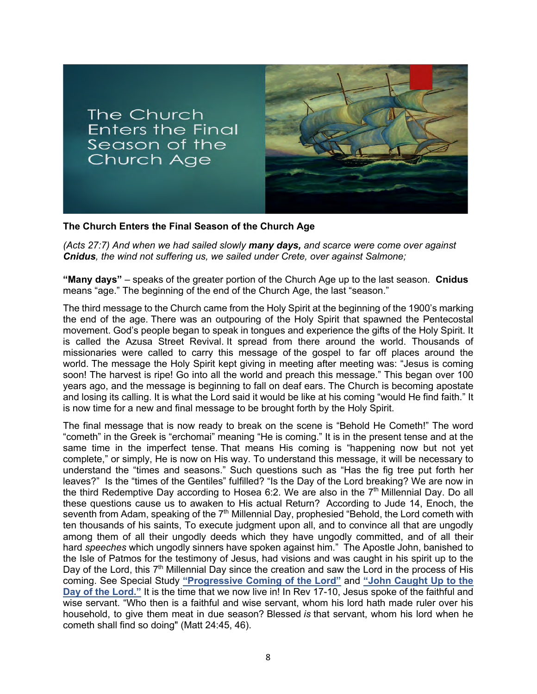

### **The Church Enters the Final Season of the Church Age**

*(Acts 27:7) And when we had sailed slowly many days, and scarce were come over against Cnidus, the wind not suffering us, we sailed under Crete, over against Salmone;*

**"Many days"** – speaks of the greater portion of the Church Age up to the last season. **Cnidus** means "age." The beginning of the end of the Church Age, the last "season."

The third message to the Church came from the Holy Spirit at the beginning of the 1900's marking the end of the age. There was an outpouring of the Holy Spirit that spawned the Pentecostal movement. God's people began to speak in tongues and experience the gifts of the Holy Spirit. It is called the Azusa Street Revival. It spread from there around the world. Thousands of missionaries were called to carry this message of the gospel to far off places around the world. The message the Holy Spirit kept giving in meeting after meeting was: "Jesus is coming soon! The harvest is ripe! Go into all the world and preach this message." This began over 100 years ago, and the message is beginning to fall on deaf ears. The Church is becoming apostate and losing its calling. It is what the Lord said it would be like at his coming "would He find faith." It is now time for a new and final message to be brought forth by the Holy Spirit.

The final message that is now ready to break on the scene is "Behold He Cometh!" The word "cometh" in the Greek is "erchomai" meaning "He is coming." It is in the present tense and at the same time in the imperfect tense. That means His coming is "happening now but not yet complete," or simply, He is now on His way. To understand this message, it will be necessary to understand the "times and seasons." Such questions such as "Has the fig tree put forth her leaves?" Is the "times of the Gentiles" fulfilled? "Is the Day of the Lord breaking? We are now in the third Redemptive Day according to Hosea 6:2. We are also in the  $7<sup>th</sup>$  Millennial Day. Do all these questions cause us to awaken to His actual Return? According to Jude 14, Enoch, the seventh from Adam, speaking of the  $7<sup>th</sup>$  Millennial Day, prophesied "Behold, the Lord cometh with ten thousands of his saints, To execute judgment upon all, and to convince all that are ungodly among them of all their ungodly deeds which they have ungodly committed, and of all their hard *speeches* which ungodly sinners have spoken against him." The Apostle John, banished to the Isle of Patmos for the testimony of Jesus, had visions and was caught in his spirit up to the Day of the Lord, this  $7<sup>th</sup>$  Millennial Day since the creation and saw the Lord in the process of His coming. See Special Study **["Progressive Coming of the Lord"](https://graceassemblysandiego.info/wp-content/uploads/ProgressiveComingoftheLordopt.pdf)** and **["John Caught Up to the](https://graceassemblysandiego.info/wp-content/uploads/JohnCaughtUptotheDayoftheLordopt.pdf)** [Day of the Lord."](https://graceassemblysandiego.info/wp-content/uploads/JohnCaughtUptotheDayoftheLordopt.pdf) It is the time that we now live in! In Rev 17-10, Jesus spoke of the faithful and wise servant. "Who then is a faithful and wise servant, whom his lord hath made ruler over his household, to give them meat in due season? Blessed *is* that servant, whom his lord when he cometh shall find so doing" (Matt 24:45, 46).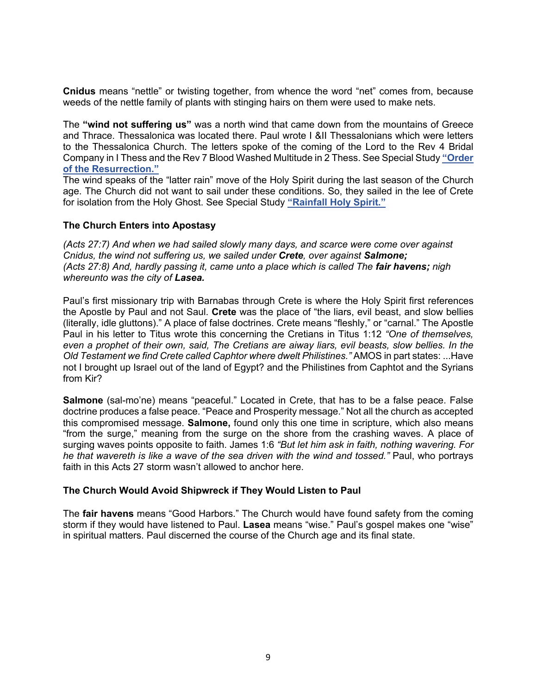**Cnidus** means "nettle" or twisting together, from whence the word "net" comes from, because weeds of the nettle family of plants with stinging hairs on them were used to make nets.

The **"wind not suffering us"** was a north wind that came down from the mountains of Greece and Thrace. Thessalonica was located there. Paul wrote I &II Thessalonians which were letters to the Thessalonica Church. The letters spoke of the coming of the Lord to the Rev 4 Bridal Company in I Thess and the Rev 7 Blood Washed Multitude in 2 Thess. See Special Study **["Order](https://graceassemblysandiego.info/wp-content/uploads/OrderofResurrectionopt.pdf) [of the Resurrection."](https://graceassemblysandiego.info/wp-content/uploads/OrderofResurrectionopt.pdf)**

The wind speaks of the "latter rain" move of the Holy Spirit during the last season of the Church age. The Church did not want to sail under these conditions. So, they sailed in the lee of Crete for isolation from the Holy Ghost. See Special Study **["Rainfall Holy Spirit."](https://graceassemblysandiego.info/wp-content/uploads/RainfallHolySpiritopt.pdf)**

### **The Church Enters into Apostasy**

*(Acts 27:7) And when we had sailed slowly many days, and scarce were come over against Cnidus, the wind not suffering us, we sailed under Crete, over against Salmone; (Acts 27:8) And, hardly passing it, came unto a place which is called The fair havens; <i>nigh whereunto was the city of Lasea.*

Paul's first missionary trip with Barnabas through Crete is where the Holy Spirit first references the Apostle by Paul and not Saul. **Crete** was the place of "the liars, evil beast, and slow bellies (literally, idle gluttons)." A place of false doctrines. Crete means "fleshly," or "carnal." The Apostle Paul in his letter to Titus wrote this concerning the Cretians in Titus 1:12 *"One of themselves, even a prophet of their own, said, The Cretians are aiway liars, evil beasts, slow bellies. In the Old Testament we find Crete called Caphtor where dwelt Philistines."* AMOS in part states: ...Have not I brought up Israel out of the land of Egypt? and the Philistines from Caphtot and the Syrians from Kir?

**Salmone** (sal-mo'ne) means "peaceful." Located in Crete, that has to be a false peace. False doctrine produces a false peace. "Peace and Prosperity message." Not all the church as accepted this compromised message. **Salmone,** found only this one time in scripture, which also means "from the surge," meaning from the surge on the shore from the crashing waves. A place of surging waves points opposite to faith. James 1:6 *"But let him ask in faith, nothing wavering. For he that wavereth is like a wave of the sea driven with the wind and tossed."* Paul, who portrays faith in this Acts 27 storm wasn't allowed to anchor here.

#### **The Church Would Avoid Shipwreck if They Would Listen to Paul**

The **fair havens** means "Good Harbors." The Church would have found safety from the coming storm if they would have listened to Paul. **Lasea** means "wise." Paul's gospel makes one "wise" in spiritual matters. Paul discerned the course of the Church age and its final state.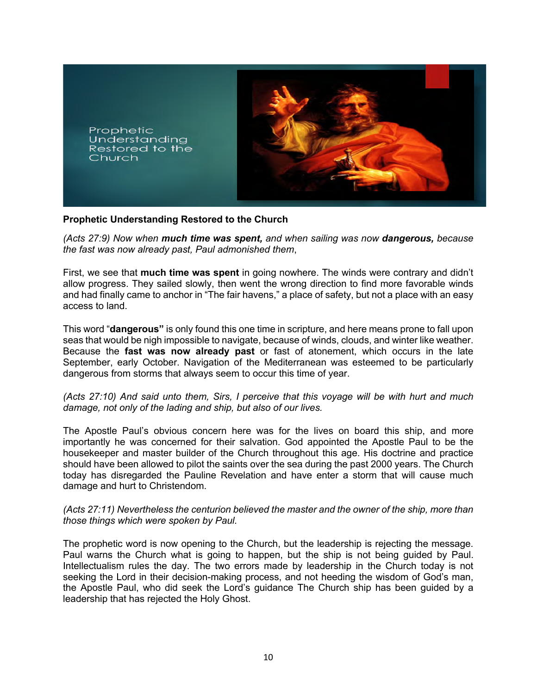

### **Prophetic Understanding Restored to the Church**

*(Acts 27:9) Now when much time was spent, and when sailing was now dangerous, because the fast was now already past, Paul admonished them*,

First, we see that **much time was spent** in going nowhere. The winds were contrary and didn't allow progress. They sailed slowly, then went the wrong direction to find more favorable winds and had finally came to anchor in "The fair havens," a place of safety, but not a place with an easy access to land.

This word "**dangerous"** is only found this one time in scripture, and here means prone to fall upon seas that would be nigh impossible to navigate, because of winds, clouds, and winter like weather. Because the **fast was now already past** or fast of atonement, which occurs in the late September, early October. Navigation of the Mediterranean was esteemed to be particularly dangerous from storms that always seem to occur this time of year.

*(Acts 27:10) And said unto them, Sirs, I perceive that this voyage will be with hurt and much damage, not only of the lading and ship, but also of our lives.*

The Apostle Paul's obvious concern here was for the lives on board this ship, and more importantly he was concerned for their salvation. God appointed the Apostle Paul to be the housekeeper and master builder of the Church throughout this age. His doctrine and practice should have been allowed to pilot the saints over the sea during the past 2000 years. The Church today has disregarded the Pauline Revelation and have enter a storm that will cause much damage and hurt to Christendom.

*(Acts 27:11) Nevertheless the centurion believed the master and the owner of the ship, more than those things which were spoken by Paul.*

The prophetic word is now opening to the Church, but the leadership is rejecting the message. Paul warns the Church what is going to happen, but the ship is not being guided by Paul. Intellectualism rules the day. The two errors made by leadership in the Church today is not seeking the Lord in their decision-making process, and not heeding the wisdom of God's man, the Apostle Paul, who did seek the Lord's guidance The Church ship has been guided by a leadership that has rejected the Holy Ghost.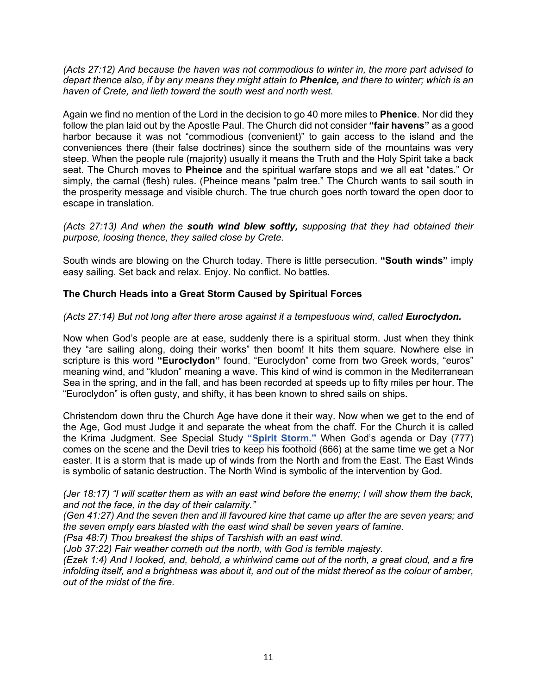*(Acts 27:12) And because the haven was not commodious to winter in, the more part advised to depart thence also, if by any means they might attain to Phenice, and there to winter; which is an haven of Crete, and lieth toward the south west and north west.*

Again we find no mention of the Lord in the decision to go 40 more miles to **Phenice**. Nor did they follow the plan laid out by the Apostle Paul. The Church did not consider **"fair havens"** as a good harbor because it was not "commodious (convenient)" to gain access to the island and the conveniences there (their false doctrines) since the southern side of the mountains was very steep. When the people rule (majority) usually it means the Truth and the Holy Spirit take a back seat. The Church moves to **Pheince** and the spiritual warfare stops and we all eat "dates." Or simply, the carnal (flesh) rules. (Pheince means "palm tree." The Church wants to sail south in the prosperity message and visible church. The true church goes north toward the open door to escape in translation.

*(Acts 27:13) And when the south wind blew softly, supposing that they had obtained their purpose, loosing thence, they sailed close by Crete.*

South winds are blowing on the Church today. There is little persecution. **"South winds"** imply easy sailing. Set back and relax. Enjoy. No conflict. No battles.

## **The Church Heads into a Great Storm Caused by Spiritual Forces**

### *(Acts 27:14) But not long after there arose against it a tempestuous wind, called Euroclydon.*

Now when God's people are at ease, suddenly there is a spiritual storm. Just when they think they "are sailing along, doing their works" then boom! It hits them square. Nowhere else in scripture is this word **"Euroclydon"** found. "Euroclydon" come from two Greek words, "euros" meaning wind, and "kludon" meaning a wave. This kind of wind is common in the Mediterranean Sea in the spring, and in the fall, and has been recorded at speeds up to fifty miles per hour. The "Euroclydon" is often gusty, and shifty, it has been known to shred sails on ships.

Christendom down thru the Church Age have done it their way. Now when we get to the end of the Age, God must Judge it and separate the wheat from the chaff. For the Church it is called the Krima Judgment. See Special Study **["Spirit Storm."](https://graceassemblysandiego.info/wp-content/uploads/SpiritStorm.pdf)** When God's agenda or Day (777) comes on the scene and the Devil tries to keep his foothold (666) at the same time we get a Nor easter. It is a storm that is made up of winds from the North and from the East. The East Winds is symbolic of satanic destruction. The North Wind is symbolic of the intervention by God.

*(Jer 18:17) "I will scatter them as with an east wind before the enemy; I will show them the back, and not the face, in the day of their calamity."*

*(Gen 41:27) And the seven then and ill favoured kine that came up after the are seven years; and the seven empty ears blasted with the east wind shall be seven years of famine.*

*(Psa 48:7) Thou breakest the ships of Tarshish with an east wind.*

*(Job 37:22) Fair weather cometh out the north, with God is terrible majesty.*

*(Ezek 1:4) And I looked, and, behold, a whirlwind came out of the north, a great cloud, and a fire* infolding itself, and a brightness was about it, and out of the midst thereof as the colour of amber, *out of the midst of the fire.*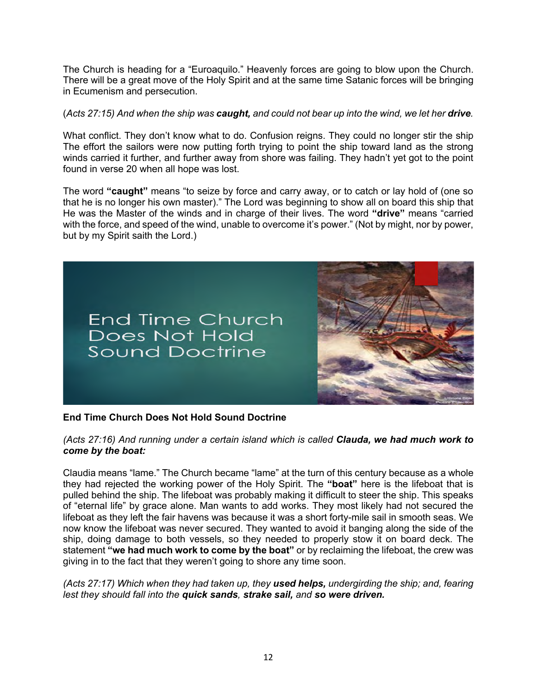The Church is heading for a "Euroaquilo." Heavenly forces are going to blow upon the Church. There will be a great move of the Holy Spirit and at the same time Satanic forces will be bringing in Ecumenism and persecution.

## (*Acts 27:15) And when the ship was caught, and could not bear up into the wind, we let her drive.*

What conflict. They don't know what to do. Confusion reigns. They could no longer stir the ship The effort the sailors were now putting forth trying to point the ship toward land as the strong winds carried it further, and further away from shore was failing. They hadn't yet got to the point found in verse 20 when all hope was lost.

The word **"caught"** means "to seize by force and carry away, or to catch or lay hold of (one so that he is no longer his own master)." The Lord was beginning to show all on board this ship that He was the Master of the winds and in charge of their lives. The word **"drive"** means "carried with the force, and speed of the wind, unable to overcome it's power." (Not by might, nor by power, but by my Spirit saith the Lord.)



## **End Time Church Does Not Hold Sound Doctrine**

### *(Acts 27:16) And running under a certain island which is called Clauda, we had much work to come by the boat:*

Claudia means "lame." The Church became "lame" at the turn of this century because as a whole they had rejected the working power of the Holy Spirit. The **"boat"** here is the lifeboat that is pulled behind the ship. The lifeboat was probably making it difficult to steer the ship. This speaks of "eternal life" by grace alone. Man wants to add works. They most likely had not secured the lifeboat as they left the fair havens was because it was a short forty-mile sail in smooth seas. We now know the lifeboat was never secured. They wanted to avoid it banging along the side of the ship, doing damage to both vessels, so they needed to properly stow it on board deck. The statement **"we had much work to come by the boat"** or by reclaiming the lifeboat, the crew was giving in to the fact that they weren't going to shore any time soon.

*(Acts 27:17) Which when they had taken up, they used helps, undergirding the ship; and, fearing lest they should fall into the quick sands, strake sail, and so were driven.*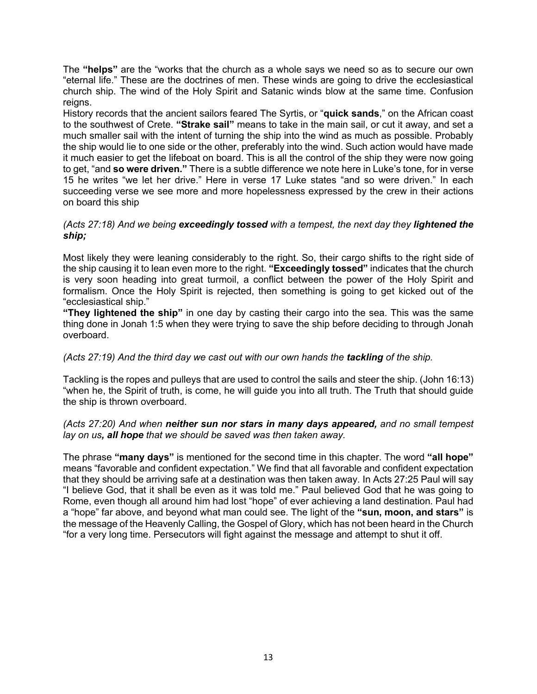The **"helps"** are the "works that the church as a whole says we need so as to secure our own "eternal life." These are the doctrines of men. These winds are going to drive the ecclesiastical church ship. The wind of the Holy Spirit and Satanic winds blow at the same time. Confusion reigns.

History records that the ancient sailors feared The Syrtis, or "**quick sands**," on the African coast to the southwest of Crete. **"Strake sail"** means to take in the main sail, or cut it away, and set a much smaller sail with the intent of turning the ship into the wind as much as possible. Probably the ship would lie to one side or the other, preferably into the wind. Such action would have made it much easier to get the lifeboat on board. This is all the control of the ship they were now going to get, "and **so were driven."** There is a subtle difference we note here in Luke's tone, for in verse 15 he writes "we let her drive." Here in verse 17 Luke states "and so were driven." In each succeeding verse we see more and more hopelessness expressed by the crew in their actions on board this ship

### *(Acts 27:18) And we being exceedingly tossed with a tempest, the next day they lightened the ship;*

Most likely they were leaning considerably to the right. So, their cargo shifts to the right side of the ship causing it to lean even more to the right. **"Exceedingly tossed"** indicates that the church is very soon heading into great turmoil, a conflict between the power of the Holy Spirit and formalism. Once the Holy Spirit is rejected, then something is going to get kicked out of the "ecclesiastical ship."

**"They lightened the ship"** in one day by casting their cargo into the sea. This was the same thing done in Jonah 1:5 when they were trying to save the ship before deciding to through Jonah overboard.

## *(Acts 27:19) And the third day we cast out with our own hands the tackling of the ship.*

Tackling is the ropes and pulleys that are used to control the sails and steer the ship. (John 16:13) "when he, the Spirit of truth, is come, he will guide you into all truth. The Truth that should guide the ship is thrown overboard.

### *(Acts 27:20) And when neither sun nor stars in many days appeared, and no small tempest lay on us, all hope that we should be saved was then taken away.*

The phrase **"many days"** is mentioned for the second time in this chapter. The word **"all hope"**  means "favorable and confident expectation." We find that all favorable and confident expectation that they should be arriving safe at a destination was then taken away. In Acts 27:25 Paul will say "I believe God, that it shall be even as it was told me." Paul believed God that he was going to Rome, even though all around him had lost "hope" of ever achieving a land destination. Paul had a "hope" far above, and beyond what man could see. The light of the **"sun, moon, and stars"** is the message of the Heavenly Calling, the Gospel of Glory, which has not been heard in the Church "for a very long time. Persecutors will fight against the message and attempt to shut it off.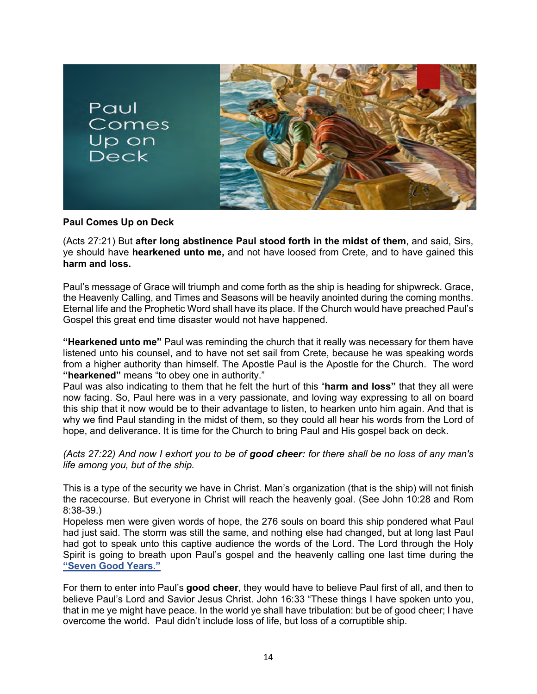

### **Paul Comes Up on Deck**

(Acts 27:21) But **after long abstinence Paul stood forth in the midst of them**, and said, Sirs, ye should have **hearkened unto me,** and not have loosed from Crete, and to have gained this **harm and loss.**

Paul's message of Grace will triumph and come forth as the ship is heading for shipwreck. Grace, the Heavenly Calling, and Times and Seasons will be heavily anointed during the coming months. Eternal life and the Prophetic Word shall have its place. If the Church would have preached Paul's Gospel this great end time disaster would not have happened.

**"Hearkened unto me"** Paul was reminding the church that it really was necessary for them have listened unto his counsel, and to have not set sail from Crete, because he was speaking words from a higher authority than himself. The Apostle Paul is the Apostle for the Church. The word **"hearkened"** means "to obey one in authority."

Paul was also indicating to them that he felt the hurt of this "**harm and loss"** that they all were now facing. So, Paul here was in a very passionate, and loving way expressing to all on board this ship that it now would be to their advantage to listen, to hearken unto him again. And that is why we find Paul standing in the midst of them, so they could all hear his words from the Lord of hope, and deliverance. It is time for the Church to bring Paul and His gospel back on deck.

*(Acts 27:22) And now I exhort you to be of good cheer: for there shall be no loss of any man's life among you, but of the ship.*

This is a type of the security we have in Christ. Man's organization (that is the ship) will not finish the racecourse. But everyone in Christ will reach the heavenly goal. (See John 10:28 and Rom 8:38-39.)

Hopeless men were given words of hope, the 276 souls on board this ship pondered what Paul had just said. The storm was still the same, and nothing else had changed, but at long last Paul had got to speak unto this captive audience the words of the Lord. The Lord through the Holy Spirit is going to breath upon Paul's gospel and the heavenly calling one last time during the **["Seven Good Years."](https://graceassemblysandiego.info/wp-content/uploads/SevenGoodYearsandSevenEvilYears.pdf)**

For them to enter into Paul's **good cheer**, they would have to believe Paul first of all, and then to believe Paul's Lord and Savior Jesus Christ. John 16:33 "These things I have spoken unto you, that in me ye might have peace. In the world ye shall have tribulation: but be of good cheer; I have overcome the world. Paul didn't include loss of life, but loss of a corruptible ship.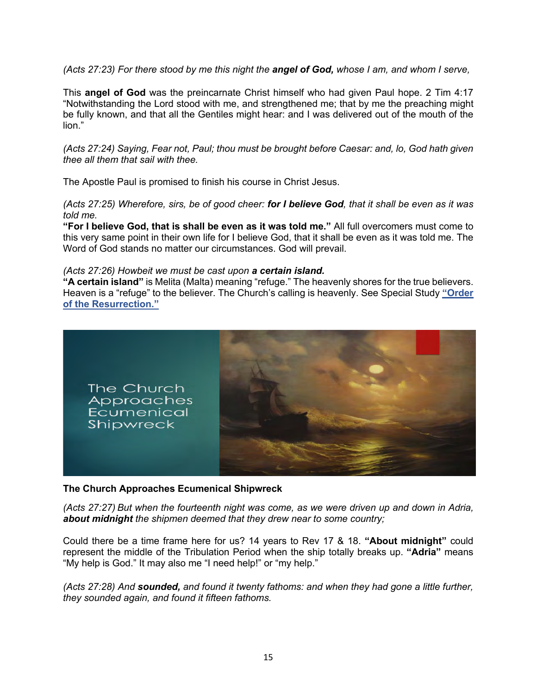*(Acts 27:23) For there stood by me this night the angel of God, whose I am, and whom I serve,*

This **angel of God** was the preincarnate Christ himself who had given Paul hope. 2 Tim 4:17 "Notwithstanding the Lord stood with me, and strengthened me; that by me the preaching might be fully known, and that all the Gentiles might hear: and I was delivered out of the mouth of the lion."

*(Acts 27:24) Saying, Fear not, Paul; thou must be brought before Caesar: and, lo, God hath given thee all them that sail with thee.* 

The Apostle Paul is promised to finish his course in Christ Jesus.

*(Acts 27:25) Wherefore, sirs, be of good cheer: for I believe God, that it shall be even as it was told me.*

**"For I believe God, that is shall be even as it was told me."** All full overcomers must come to this very same point in their own life for I believe God, that it shall be even as it was told me. The Word of God stands no matter our circumstances. God will prevail.

#### *(Acts 27:26) Howbeit we must be cast upon a certain island.*

**"A certain island"** is Melita (Malta) meaning "refuge." The heavenly shores for the true believers. Heaven is a "refuge" to the believer. The Church's calling is heavenly. See Special Study **["Order](https://graceassemblysandiego.info/wp-content/uploads/OrderofResurrectionopt.pdf)  [of the Resurrection."](https://graceassemblysandiego.info/wp-content/uploads/OrderofResurrectionopt.pdf)**



#### **The Church Approaches Ecumenical Shipwreck**

*(Acts 27:27) But when the fourteenth night was come, as we were driven up and down in Adria, about midnight the shipmen deemed that they drew near to some country;*

Could there be a time frame here for us? 14 years to Rev 17 & 18. **"About midnight"** could represent the middle of the Tribulation Period when the ship totally breaks up. **"Adria"** means "My help is God." It may also me "I need help!" or "my help."

*(Acts 27:28) And sounded, and found it twenty fathoms: and when they had gone a little further, they sounded again, and found it fifteen fathoms.*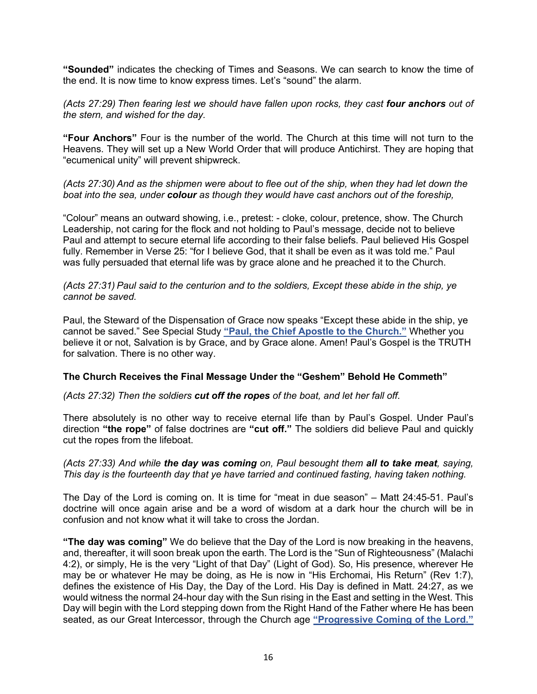**"Sounded"** indicates the checking of Times and Seasons. We can search to know the time of the end. It is now time to know express times. Let's "sound" the alarm.

*(Acts 27:29) Then fearing lest we should have fallen upon rocks, they cast four anchors out of the stern, and wished for the day.*

**"Four Anchors"** Four is the number of the world. The Church at this time will not turn to the Heavens. They will set up a New World Order that will produce Antichirst. They are hoping that "ecumenical unity" will prevent shipwreck.

*(Acts 27:30) And as the shipmen were about to flee out of the ship, when they had let down the boat into the sea, under colour as though they would have cast anchors out of the foreship,*

"Colour" means an outward showing, i.e., pretest: - cloke, colour, pretence, show. The Church Leadership, not caring for the flock and not holding to Paul's message, decide not to believe Paul and attempt to secure eternal life according to their false beliefs. Paul believed His Gospel fully. Remember in Verse 25: "for I believe God, that it shall be even as it was told me." Paul was fully persuaded that eternal life was by grace alone and he preached it to the Church.

*(Acts 27:31) Paul said to the centurion and to the soldiers, Except these abide in the ship, ye cannot be saved.*

Paul, the Steward of the Dispensation of Grace now speaks "Except these abide in the ship, ye cannot be saved." See Special Study **["Paul, the Chief Apostle to the Church."](https://graceassemblysandiego.info/wp-content/uploads/PaultheChiefApostletotheChurch.pdf)** Whether you believe it or not, Salvation is by Grace, and by Grace alone. Amen! Paul's Gospel is the TRUTH for salvation. There is no other way.

#### **The Church Receives the Final Message Under the "Geshem" Behold He Commeth"**

*(Acts 27:32) Then the soldiers cut off the ropes of the boat, and let her fall off.*

There absolutely is no other way to receive eternal life than by Paul's Gospel. Under Paul's direction **"the rope"** of false doctrines are **"cut off."** The soldiers did believe Paul and quickly cut the ropes from the lifeboat.

*(Acts 27:33) And while the day was coming on, Paul besought them all to take meat, saying, This day is the fourteenth day that ye have tarried and continued fasting, having taken nothing.*

The Day of the Lord is coming on. It is time for "meat in due season" – Matt 24:45-51. Paul's doctrine will once again arise and be a word of wisdom at a dark hour the church will be in confusion and not know what it will take to cross the Jordan.

**"The day was coming"** We do believe that the Day of the Lord is now breaking in the heavens, and, thereafter, it will soon break upon the earth. The Lord is the "Sun of Righteousness" (Malachi 4:2), or simply, He is the very "Light of that Day" (Light of God). So, His presence, wherever He may be or whatever He may be doing, as He is now in "His Erchomai, His Return" (Rev 1:7), defines the existence of His Day, the Day of the Lord. His Day is defined in Matt. 24:27, as we would witness the normal 24-hour day with the Sun rising in the East and setting in the West. This Day will begin with the Lord stepping down from the Right Hand of the Father where He has been seated, as our Great Intercessor, through the Church age ["Progressive Coming of the Lord."](https://graceassemblysandiego.info/wp-content/uploads/ProgressiveComingoftheLordopt.pdf)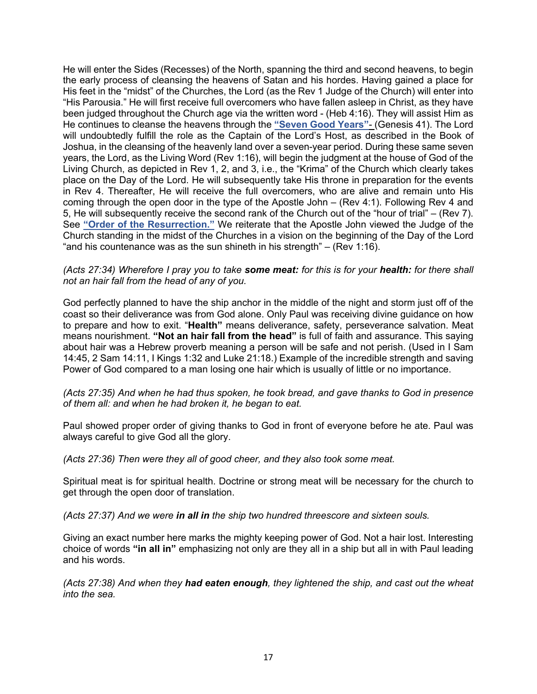He will enter the Sides (Recesses) of the North, spanning the third and second heavens, to begin the early process of cleansing the heavens of Satan and his hordes. Having gained a place for His feet in the "midst" of the Churches, the Lord (as the Rev 1 Judge of the Church) will enter into "His Parousia." He will first receive full overcomers who have fallen asleep in Christ, as they have been judged throughout the Church age via the written word - (Heb 4:16). They will assist Him as He continues to cleanse the heavens through the **["Seven Good Years"](https://graceassemblysandiego.info/wp-content/uploads/SevenGoodYearsandSevenEvilYears.pdf)**- (Genesis 41). The Lord will undoubtedly fulfill the role as the Captain of the Lord's Host, as described in the Book of Joshua, in the cleansing of the heavenly land over a seven-year period. During these same seven years, the Lord, as the Living Word (Rev 1:16), will begin the judgment at the house of God of the Living Church, as depicted in Rev 1, 2, and 3, i.e., the "Krima" of the Church which clearly takes place on the Day of the Lord. He will subsequently take His throne in preparation for the events in Rev 4. Thereafter, He will receive the full overcomers, who are alive and remain unto His coming through the open door in the type of the Apostle John – (Rev 4:1). Following Rev 4 and 5, He will subsequently receive the second rank of the Church out of the "hour of trial" – (Rev 7). See **["Order of the Resurrection."](https://graceassemblysandiego.info/wp-content/uploads/OrderofResurrectionopt.pdf)** We reiterate that the Apostle John viewed the Judge of the Church standing in the midst of the Churches in a vision on the beginning of the Day of the Lord "and his countenance was as the sun shineth in his strength" – (Rev 1:16).

#### *(Acts 27:34) Wherefore I pray you to take some meat: for this is for your health: for there shall not an hair fall from the head of any of you.*

God perfectly planned to have the ship anchor in the middle of the night and storm just off of the coast so their deliverance was from God alone. Only Paul was receiving divine guidance on how to prepare and how to exit. "**Health"** means deliverance, safety, perseverance salvation. Meat means nourishment. **"Not an hair fall from the head"** is full of faith and assurance. This saying about hair was a Hebrew proverb meaning a person will be safe and not perish. (Used in I Sam 14:45, 2 Sam 14:11, I Kings 1:32 and Luke 21:18.) Example of the incredible strength and saving Power of God compared to a man losing one hair which is usually of little or no importance.

#### *(Acts 27:35) And when he had thus spoken, he took bread, and gave thanks to God in presence of them all: and when he had broken it, he began to eat.*

Paul showed proper order of giving thanks to God in front of everyone before he ate. Paul was always careful to give God all the glory.

*(Acts 27:36) Then were they all of good cheer, and they also took some meat.*

Spiritual meat is for spiritual health. Doctrine or strong meat will be necessary for the church to get through the open door of translation.

*(Acts 27:37) And we were in all in the ship two hundred threescore and sixteen souls.* 

Giving an exact number here marks the mighty keeping power of God. Not a hair lost. Interesting choice of words **"in all in"** emphasizing not only are they all in a ship but all in with Paul leading and his words.

*(Acts 27:38) And when they had eaten enough, they lightened the ship, and cast out the wheat into the sea.*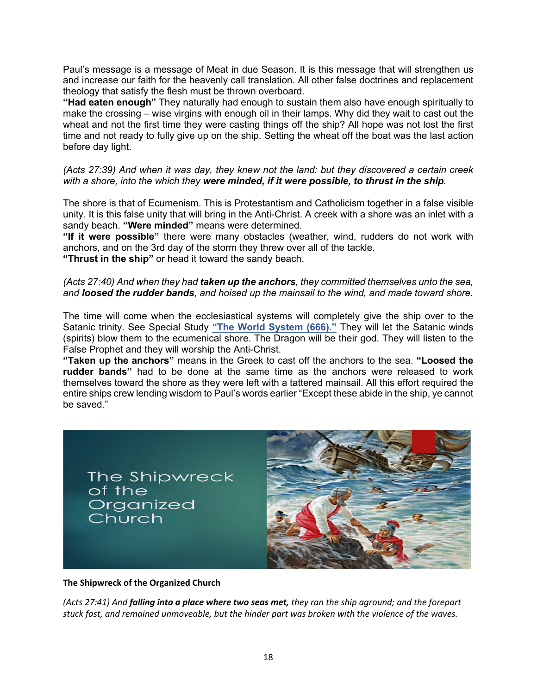Paul's message is a message of Meat in due Season. It is this message that will strengthen us and increase our faith for the heavenly call translation. All other false doctrines and replacement theology that satisfy the flesh must be thrown overboard.

**"Had eaten enough"** They naturally had enough to sustain them also have enough spiritually to make the crossing – wise virgins with enough oil in their lamps. Why did they wait to cast out the wheat and not the first time they were casting things off the ship? All hope was not lost the first time and not ready to fully give up on the ship. Setting the wheat off the boat was the last action before day light.

### *(Acts 27:39) And when it was day, they knew not the land: but they discovered a certain creek with a shore, into the which they were minded, if it were possible, to thrust in the ship.*

The shore is that of Ecumenism. This is Protestantism and Catholicism together in a false visible unity. It is this false unity that will bring in the Anti-Christ. A creek with a shore was an inlet with a sandy beach. **"Were minded"** means were determined.

**"If it were possible"** there were many obstacles (weather, wind, rudders do not work with anchors, and on the 3rd day of the storm they threw over all of the tackle.

**"Thrust in the ship"** or head it toward the sandy beach.

#### *(Acts 27:40) And when they had taken up the anchors, they committed themselves unto the sea, and loosed the rudder bands, and hoised up the mainsail to the wind, and made toward shore.*

The time will come when the ecclesiastical systems will completely give the ship over to the Satanic trinity. See Special Study **["The World System \(666\)."](https://graceassemblysandiego.info/wp-content/uploads/TheWorldSystem666opt.pdf)** They will let the Satanic winds (spirits) blow them to the ecumenical shore. The Dragon will be their god. They will listen to the False Prophet and they will worship the Anti-Christ.

**"Taken up the anchors"** means in the Greek to cast off the anchors to the sea. **"Loosed the rudder bands"** had to be done at the same time as the anchors were released to work themselves toward the shore as they were left with a tattered mainsail. All this effort required the entire ships crew lending wisdom to Paul's words earlier "Except these abide in the ship, ye cannot be saved."

The Shipwreck of the Organized Church



#### **The Shipwreck of the Organized Church**

*(Acts 27:41) And falling into a place where two seas met, they ran the ship aground; and the forepart stuck fast, and remained unmoveable, but the hinder part was broken with the violence of the waves.*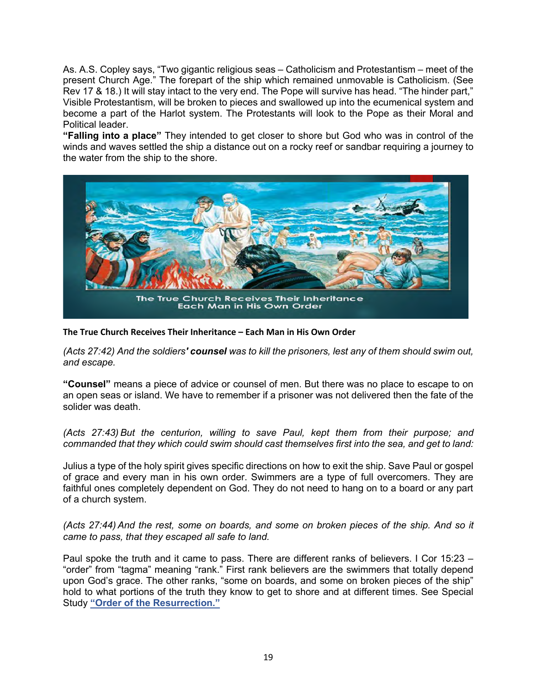As. A.S. Copley says, "Two gigantic religious seas – Catholicism and Protestantism – meet of the present Church Age." The forepart of the ship which remained unmovable is Catholicism. (See Rev 17 & 18.) It will stay intact to the very end. The Pope will survive has head. "The hinder part," Visible Protestantism, will be broken to pieces and swallowed up into the ecumenical system and become a part of the Harlot system. The Protestants will look to the Pope as their Moral and Political leader.

**"Falling into a place"** They intended to get closer to shore but God who was in control of the winds and waves settled the ship a distance out on a rocky reef or sandbar requiring a journey to the water from the ship to the shore.



**The True Church Receives Their Inheritance – Each Man in His Own Order**

*(Acts 27:42) And the soldiers' counsel was to kill the prisoners, lest any of them should swim out, and escape.* 

**"Counsel"** means a piece of advice or counsel of men. But there was no place to escape to on an open seas or island. We have to remember if a prisoner was not delivered then the fate of the solider was death.

*(Acts 27:43) But the centurion, willing to save Paul, kept them from their purpose; and commanded that they which could swim should cast themselves first into the sea, and get to land:* 

Julius a type of the holy spirit gives specific directions on how to exit the ship. Save Paul or gospel of grace and every man in his own order. Swimmers are a type of full overcomers. They are faithful ones completely dependent on God. They do not need to hang on to a board or any part of a church system.

*(Acts 27:44) And the rest, some on boards, and some on broken pieces of the ship. And so it came to pass, that they escaped all safe to land.* 

Paul spoke the truth and it came to pass. There are different ranks of believers. I Cor 15:23 – "order" from "tagma" meaning "rank." First rank believers are the swimmers that totally depend upon God's grace. The other ranks, "some on boards, and some on broken pieces of the ship" hold to what portions of the truth they know to get to shore and at different times. See Special Study **["Order of the Resurrection."](https://graceassemblysandiego.info/wp-content/uploads/OrderofResurrectionopt.pdf)**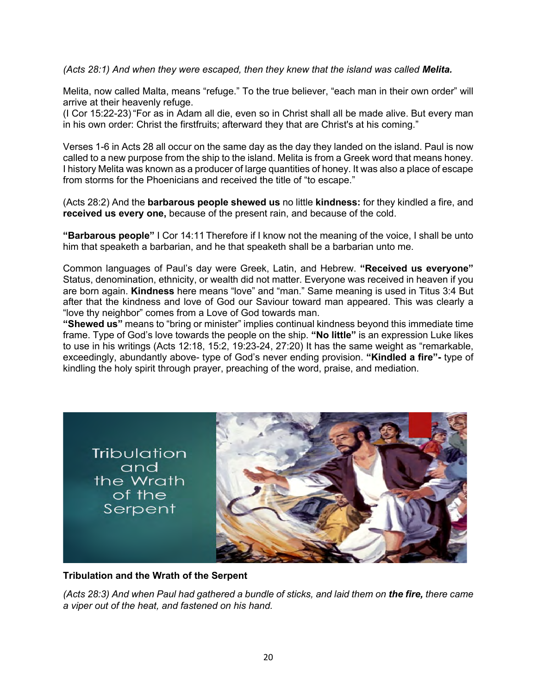*(Acts 28:1) And when they were escaped, then they knew that the island was called Melita.* 

Melita, now called Malta, means "refuge." To the true believer, "each man in their own order" will arrive at their heavenly refuge.

(I Cor 15:22-23) "For as in Adam all die, even so in Christ shall all be made alive. But every man in his own order: Christ the firstfruits; afterward they that are Christ's at his coming."

Verses 1-6 in Acts 28 all occur on the same day as the day they landed on the island. Paul is now called to a new purpose from the ship to the island. Melita is from a Greek word that means honey. I history Melita was known as a producer of large quantities of honey. It was also a place of escape from storms for the Phoenicians and received the title of "to escape."

(Acts 28:2) And the **barbarous people shewed us** no little **kindness:** for they kindled a fire, and **received us every one,** because of the present rain, and because of the cold.

**"Barbarous people"** I Cor 14:11 Therefore if I know not the meaning of the voice, I shall be unto him that speaketh a barbarian, and he that speaketh shall be a barbarian unto me.

Common languages of Paul's day were Greek, Latin, and Hebrew. **"Received us everyone"** Status, denomination, ethnicity, or wealth did not matter. Everyone was received in heaven if you are born again. **Kindness** here means "love" and "man." Same meaning is used in Titus 3:4 But after that the kindness and love of God our Saviour toward man appeared. This was clearly a "love thy neighbor" comes from a Love of God towards man.

**"Shewed us"** means to "bring or minister" implies continual kindness beyond this immediate time frame. Type of God's love towards the people on the ship. **"No little"** is an expression Luke likes to use in his writings (Acts 12:18, 15:2, 19:23-24, 27:20) It has the same weight as "remarkable, exceedingly, abundantly above- type of God's never ending provision. **"Kindled a fire"-** type of kindling the holy spirit through prayer, preaching of the word, praise, and mediation.

Tribulation and the Wrath of the Serpent



## **Tribulation and the Wrath of the Serpent**

*(Acts 28:3) And when Paul had gathered a bundle of sticks, and laid them on the fire, there came a viper out of the heat, and fastened on his hand.*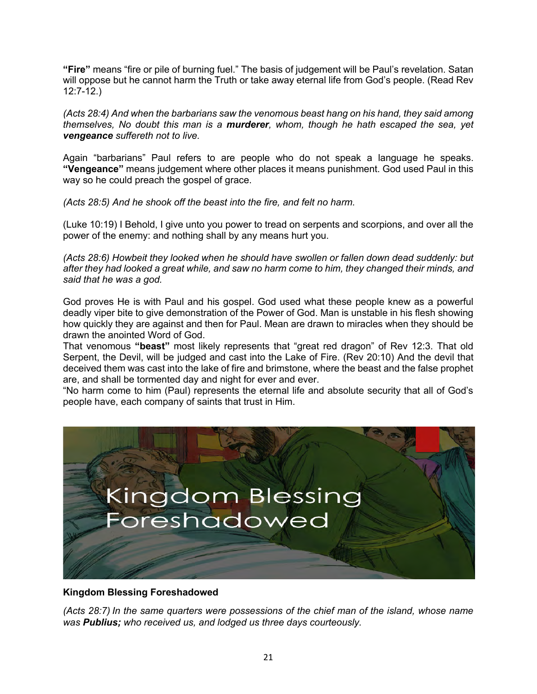**"Fire"** means "fire or pile of burning fuel." The basis of judgement will be Paul's revelation. Satan will oppose but he cannot harm the Truth or take away eternal life from God's people. (Read Rev 12:7-12.)

*(Acts 28:4) And when the barbarians saw the venomous beast hang on his hand, they said among themselves, No doubt this man is a murderer, whom, though he hath escaped the sea, yet vengeance suffereth not to live.*

Again "barbarians" Paul refers to are people who do not speak a language he speaks. **"Vengeance"** means judgement where other places it means punishment. God used Paul in this way so he could preach the gospel of grace.

*(Acts 28:5) And he shook off the beast into the fire, and felt no harm.* 

(Luke 10:19) I Behold, I give unto you power to tread on serpents and scorpions, and over all the power of the enemy: and nothing shall by any means hurt you.

*(Acts 28:6) Howbeit they looked when he should have swollen or fallen down dead suddenly: but after they had looked a great while, and saw no harm come to him, they changed their minds, and said that he was a god.* 

God proves He is with Paul and his gospel. God used what these people knew as a powerful deadly viper bite to give demonstration of the Power of God. Man is unstable in his flesh showing how quickly they are against and then for Paul. Mean are drawn to miracles when they should be drawn the anointed Word of God.

That venomous **"beast"** most likely represents that "great red dragon" of Rev 12:3. That old Serpent, the Devil, will be judged and cast into the Lake of Fire. (Rev 20:10) And the devil that deceived them was cast into the lake of fire and brimstone, where the beast and the false prophet are, and shall be tormented day and night for ever and ever.

"No harm come to him (Paul) represents the eternal life and absolute security that all of God's people have, each company of saints that trust in Him.



## **Kingdom Blessing Foreshadowed**

*(Acts 28:7) In the same quarters were possessions of the chief man of the island, whose name was Publius; who received us, and lodged us three days courteously.*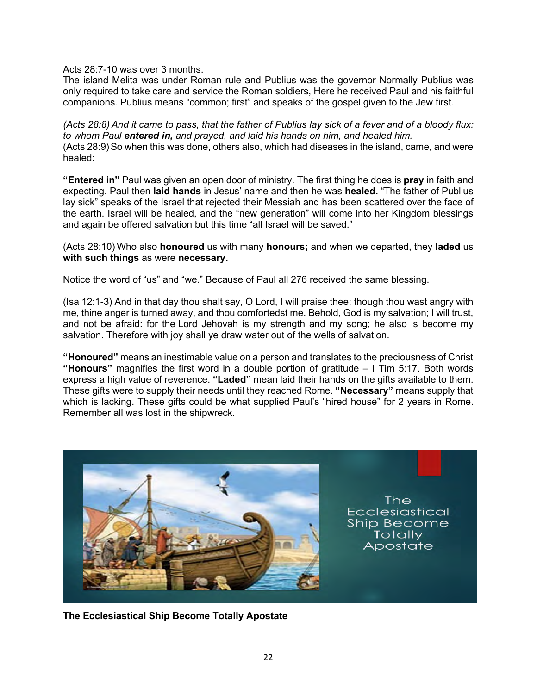#### Acts 28:7-10 was over 3 months.

The island Melita was under Roman rule and Publius was the governor Normally Publius was only required to take care and service the Roman soldiers, Here he received Paul and his faithful companions. Publius means "common; first" and speaks of the gospel given to the Jew first.

*(Acts 28:8) And it came to pass, that the father of Publius lay sick of a fever and of a bloody flux: to whom Paul entered in, and prayed, and laid his hands on him, and healed him.*  (Acts 28:9)So when this was done, others also, which had diseases in the island, came, and were healed:

**"Entered in"** Paul was given an open door of ministry. The first thing he does is **pray** in faith and expecting. Paul then **laid hands** in Jesus' name and then he was **healed.** "The father of Publius lay sick" speaks of the Israel that rejected their Messiah and has been scattered over the face of the earth. Israel will be healed, and the "new generation" will come into her Kingdom blessings and again be offered salvation but this time "all Israel will be saved."

(Acts 28:10) Who also **honoured** us with many **honours;** and when we departed, they **laded** us **with such things** as were **necessary.**

Notice the word of "us" and "we." Because of Paul all 276 received the same blessing.

(Isa 12:1-3) And in that day thou shalt say, O Lord, I will praise thee: though thou wast angry with me, thine anger is turned away, and thou comfortedst me. Behold, God is my salvation; I will trust, and not be afraid: for the Lord Jehovah is my strength and my song; he also is become my salvation. Therefore with joy shall ye draw water out of the wells of salvation.

**"Honoured"** means an inestimable value on a person and translates to the preciousness of Christ **"Honours"** magnifies the first word in a double portion of gratitude – I Tim 5:17. Both words express a high value of reverence. **"Laded"** mean laid their hands on the gifts available to them. These gifts were to supply their needs until they reached Rome. **"Necessary"** means supply that which is lacking. These gifts could be what supplied Paul's "hired house" for 2 years in Rome. Remember all was lost in the shipwreck.



**The Ecclesiastical Ship Become Totally Apostate**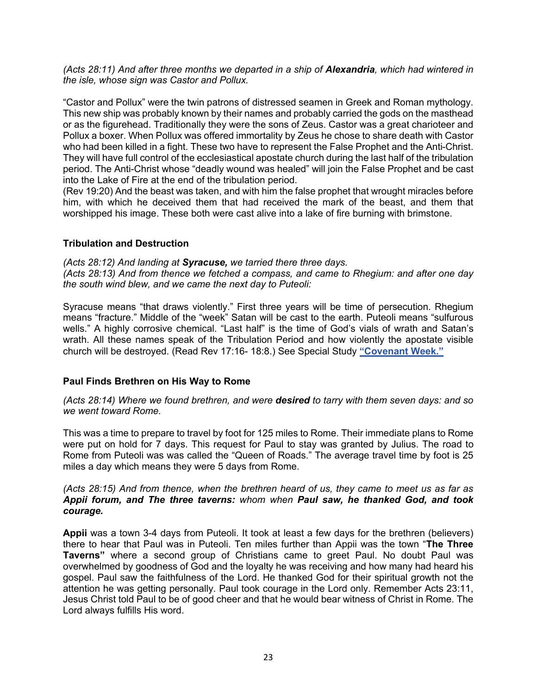*(Acts 28:11) And after three months we departed in a ship of Alexandria, which had wintered in the isle, whose sign was Castor and Pollux.*

"Castor and Pollux" were the twin patrons of distressed seamen in Greek and Roman mythology. This new ship was probably known by their names and probably carried the gods on the masthead or as the figurehead. Traditionally they were the sons of Zeus. Castor was a great charioteer and Pollux a boxer. When Pollux was offered immortality by Zeus he chose to share death with Castor who had been killed in a fight. These two have to represent the False Prophet and the Anti-Christ. They will have full control of the ecclesiastical apostate church during the last half of the tribulation period. The Anti-Christ whose "deadly wound was healed" will join the False Prophet and be cast into the Lake of Fire at the end of the tribulation period.

(Rev 19:20) And the beast was taken, and with him the false prophet that wrought miracles before him, with which he deceived them that had received the mark of the beast, and them that worshipped his image. These both were cast alive into a lake of fire burning with brimstone.

### **Tribulation and Destruction**

*(Acts 28:12) And landing at Syracuse, we tarried there three days. (Acts 28:13) And from thence we fetched a compass, and came to Rhegium: and after one day the south wind blew, and we came the next day to Puteoli:*

Syracuse means "that draws violently." First three years will be time of persecution. Rhegium means "fracture." Middle of the "week" Satan will be cast to the earth. Puteoli means "sulfurous wells." A highly corrosive chemical. "Last half" is the time of God's vials of wrath and Satan's wrath. All these names speak of the Tribulation Period and how violently the apostate visible church will be destroyed. (Read Rev 17:16- 18:8.) See Special Study **["Covenant Week."](https://graceassemblysandiego.info/wp-content/uploads/CovenantWeekopt.pdf)**

## **Paul Finds Brethren on His Way to Rome**

*(Acts 28:14) Where we found brethren, and were desired to tarry with them seven days: and so we went toward Rome.* 

This was a time to prepare to travel by foot for 125 miles to Rome. Their immediate plans to Rome were put on hold for 7 days. This request for Paul to stay was granted by Julius. The road to Rome from Puteoli was was called the "Queen of Roads." The average travel time by foot is 25 miles a day which means they were 5 days from Rome.

#### *(Acts 28:15) And from thence, when the brethren heard of us, they came to meet us as far as Appii forum, and The three taverns: whom when Paul saw, he thanked God, and took courage.*

**Appii** was a town 3-4 days from Puteoli. It took at least a few days for the brethren (believers) there to hear that Paul was in Puteoli. Ten miles further than Appii was the town "**The Three Taverns"** where a second group of Christians came to greet Paul. No doubt Paul was overwhelmed by goodness of God and the loyalty he was receiving and how many had heard his gospel. Paul saw the faithfulness of the Lord. He thanked God for their spiritual growth not the attention he was getting personally. Paul took courage in the Lord only. Remember Acts 23:11, Jesus Christ told Paul to be of good cheer and that he would bear witness of Christ in Rome. The Lord always fulfills His word.